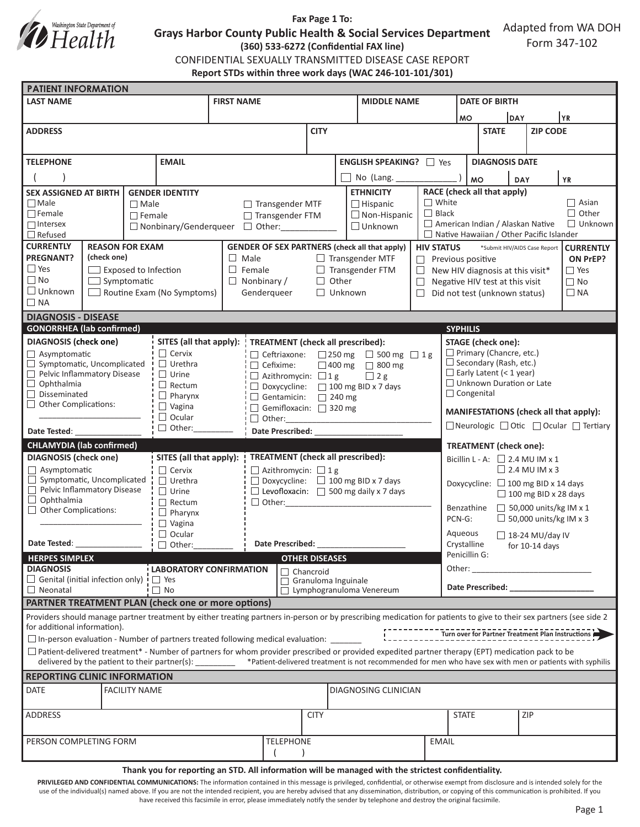

## **Fax Page 1 To:**

**Grays Harbor County Public Health & Social Services Department**

Adapted from WA DOH Form 347-102

**(360) 533-6272 (Confidential FAX line)**

CONFIDENTIAL SEXUALLY TRANSMITTED DISEASE CASE REPORT **Report STDs within three work days (WAC 246-101-101/301)**

| <b>PATIENT INFORMATION</b>                                                                                                                                                                                                                      |                            |                                               |                                                                           |                                                                    |              |  |                             |                                                                                                                |                                                             |                                                       |            |                                              |  |  |
|-------------------------------------------------------------------------------------------------------------------------------------------------------------------------------------------------------------------------------------------------|----------------------------|-----------------------------------------------|---------------------------------------------------------------------------|--------------------------------------------------------------------|--------------|--|-----------------------------|----------------------------------------------------------------------------------------------------------------|-------------------------------------------------------------|-------------------------------------------------------|------------|----------------------------------------------|--|--|
| <b>LAST NAME</b>                                                                                                                                                                                                                                |                            |                                               | <b>FIRST NAME</b>                                                         |                                                                    |              |  | <b>MIDDLE NAME</b>          |                                                                                                                |                                                             | <b>DATE OF BIRTH</b>                                  |            |                                              |  |  |
|                                                                                                                                                                                                                                                 |                            |                                               |                                                                           |                                                                    |              |  |                             |                                                                                                                | DAY<br><b>MO</b>                                            |                                                       |            | YR.                                          |  |  |
| <b>ADDRESS</b>                                                                                                                                                                                                                                  |                            |                                               |                                                                           |                                                                    | <b>CITY</b>  |  |                             |                                                                                                                |                                                             | <b>STATE</b>                                          |            | <b>ZIP CODE</b>                              |  |  |
|                                                                                                                                                                                                                                                 |                            |                                               |                                                                           |                                                                    |              |  |                             |                                                                                                                |                                                             |                                                       |            |                                              |  |  |
|                                                                                                                                                                                                                                                 |                            |                                               |                                                                           |                                                                    |              |  |                             |                                                                                                                |                                                             |                                                       |            |                                              |  |  |
| <b>EMAIL</b><br><b>TELEPHONE</b>                                                                                                                                                                                                                |                            |                                               | <b>ENGLISH SPEAKING?</b> □ Yes                                            |                                                                    |              |  |                             |                                                                                                                | <b>DIAGNOSIS DATE</b>                                       |                                                       |            |                                              |  |  |
|                                                                                                                                                                                                                                                 |                            |                                               | No (Lang. _____                                                           |                                                                    |              |  |                             | <b>MO</b><br><b>YR</b><br><b>DAY</b>                                                                           |                                                             |                                                       |            |                                              |  |  |
| <b>SEX ASSIGNED AT BIRTH</b><br><b>GENDER IDENTITY</b>                                                                                                                                                                                          |                            |                                               | <b>ETHNICITY</b>                                                          |                                                                    |              |  |                             | RACE (check all that apply)                                                                                    |                                                             |                                                       |            |                                              |  |  |
| $\Box$ Male<br>$\Box$ Male                                                                                                                                                                                                                      |                            |                                               | $\Box$ Hispanic<br>$\Box$ Transgender MTF                                 |                                                                    |              |  |                             | $\Box$ White                                                                                                   | $\Box$ Asian                                                |                                                       |            |                                              |  |  |
| $\Box$ Female<br>$\Box$ Female                                                                                                                                                                                                                  |                            |                                               |                                                                           | $\Box$ Non-Hispanic                                                |              |  | $\Box$ Black                | $\Box$ Other                                                                                                   |                                                             |                                                       |            |                                              |  |  |
| $\Box$ Intersex<br>$\Box$ Nonbinary/Genderqueer                                                                                                                                                                                                 |                            |                                               | □ Transgender FTM<br>$\Box$ Unknown                                       |                                                                    |              |  |                             |                                                                                                                | American Indian / Alaskan Native<br>$\Box$ Unknown          |                                                       |            |                                              |  |  |
| $\Box$ Refused                                                                                                                                                                                                                                  |                            |                                               |                                                                           |                                                                    |              |  |                             |                                                                                                                | $\Box$ Native Hawaiian / Other Pacific Islander             |                                                       |            |                                              |  |  |
| <b>CURRENTLY</b><br><b>REASON FOR EXAM</b>                                                                                                                                                                                                      |                            |                                               | <b>GENDER OF SEX PARTNERS (check all that apply)</b><br><b>HIV STATUS</b> |                                                                    |              |  |                             |                                                                                                                | *Submit HIV/AIDS Case Report<br><b>CURRENTLY</b>            |                                                       |            |                                              |  |  |
| <b>PREGNANT?</b><br>(check one)                                                                                                                                                                                                                 |                            |                                               | $\Box$ Male<br>$\Box$ Transgender MTF                                     |                                                                    |              |  |                             |                                                                                                                | $\Box$ Previous positive<br>ON PrEP?                        |                                                       |            |                                              |  |  |
| $\square$ Yes<br>$\Box$ Exposed to Infection                                                                                                                                                                                                    |                            |                                               |                                                                           | $\Box$ Female<br>$\Box$ Transgender FTM                            |              |  |                             |                                                                                                                |                                                             | $\Box$ Yes<br>$\Box$ New HIV diagnosis at this visit* |            |                                              |  |  |
| $\square$ No<br>$\Box$ Symptomatic                                                                                                                                                                                                              |                            |                                               | $\Box$ Other<br>$\Box$ Nonbinary /<br>$\Box$                              |                                                                    |              |  |                             |                                                                                                                | $\Box$ No<br>Negative HIV test at this visit                |                                                       |            |                                              |  |  |
| $\square$ Unknown                                                                                                                                                                                                                               | Routine Exam (No Symptoms) | Genderqueer<br>$\Box$ Unknown<br>$\Box$       |                                                                           |                                                                    |              |  |                             | Did not test (unknown status)<br>$\Box$ NA                                                                     |                                                             |                                                       |            |                                              |  |  |
| $\Box$ NA                                                                                                                                                                                                                                       |                            |                                               |                                                                           |                                                                    |              |  |                             |                                                                                                                |                                                             |                                                       |            |                                              |  |  |
| <b>DIAGNOSIS - DISEASE</b>                                                                                                                                                                                                                      |                            |                                               |                                                                           |                                                                    |              |  |                             |                                                                                                                |                                                             |                                                       |            |                                              |  |  |
| <b>GONORRHEA</b> (lab confirmed)<br><b>SYPHILIS</b>                                                                                                                                                                                             |                            |                                               |                                                                           |                                                                    |              |  |                             |                                                                                                                |                                                             |                                                       |            |                                              |  |  |
| <b>DIAGNOSIS</b> (check one)                                                                                                                                                                                                                    | SITES (all that apply): !  | <b>TREATMENT</b> (check all prescribed):      |                                                                           |                                                                    |              |  | <b>STAGE</b> (check one):   |                                                                                                                |                                                             |                                                       |            |                                              |  |  |
| $\Box$ Asymptomatic                                                                                                                                                                                                                             | $\Box$ Cervix              |                                               | $\Box$ Ceftriaxone: $\Box$ 250 mg $\Box$ 500 mg $\Box$ 1 g                |                                                                    |              |  |                             | $\Box$ Primary (Chancre, etc.)                                                                                 |                                                             |                                                       |            |                                              |  |  |
| $\Box$ Symptomatic, Uncomplicated<br>$\Box$ Urethra                                                                                                                                                                                             |                            |                                               |                                                                           | $\Box$ Cefixime:                                                   |              |  | $\Box$ 400 mg $\Box$ 800 mg |                                                                                                                | $\Box$ Secondary (Rash, etc.)                               |                                                       |            |                                              |  |  |
| Pelvic Inflammatory Disease                                                                                                                                                                                                                     | $\Box$ Urine               | $\Box$ Azithromycin: $\Box$ 1 g<br>$\Box$ 2 g |                                                                           |                                                                    |              |  |                             | $\Box$ Early Latent (< 1 year)                                                                                 |                                                             |                                                       |            |                                              |  |  |
| $\Box$ Ophthalmia<br>$\Box$ Disseminated                                                                                                                                                                                                        | $\Box$ Rectum              | □ Doxycycline: □ 100 mg BID x 7 days          |                                                                           |                                                                    |              |  |                             | $\Box$ Unknown Duration or Late<br>$\Box$ Congenital                                                           |                                                             |                                                       |            |                                              |  |  |
| $\Box$ Pharynx<br>$\Box$ Other Complications:                                                                                                                                                                                                   |                            |                                               | Gentamicin: 240 mg                                                        |                                                                    |              |  |                             |                                                                                                                |                                                             |                                                       |            |                                              |  |  |
|                                                                                                                                                                                                                                                 |                            | $\Box$ Vagina<br>$\Box$ Ocular                |                                                                           | Gemifloxacin: 320 mg                                               |              |  |                             | MANIFESTATIONS (check all that apply):                                                                         |                                                             |                                                       |            |                                              |  |  |
| $\Box$ Other:                                                                                                                                                                                                                                   |                            |                                               | $\Box$ Other:                                                             |                                                                    |              |  |                             |                                                                                                                | $\Box$ Neurologic $\Box$ Otic $\Box$ Ocular $\Box$ Tertiary |                                                       |            |                                              |  |  |
| Date Tested:                                                                                                                                                                                                                                    |                            |                                               | Date Prescribed: National Prescribed:                                     |                                                                    |              |  |                             |                                                                                                                |                                                             |                                                       |            |                                              |  |  |
| <b>CHLAMYDIA (lab confirmed)</b>                                                                                                                                                                                                                |                            |                                               |                                                                           |                                                                    |              |  |                             |                                                                                                                | <b>TREATMENT</b> (check one):                               |                                                       |            |                                              |  |  |
| <b>DIAGNOSIS (check one)</b>                                                                                                                                                                                                                    |                            |                                               | <b>TREATMENT</b> (check all prescribed):<br>SITES (all that apply):       |                                                                    |              |  |                             |                                                                                                                | Bicillin L - A: $\Box$ 2.4 MU IM x 1                        |                                                       |            |                                              |  |  |
| $\Box$ Asymptomatic<br>$\Box$ Symptomatic, Uncomplicated                                                                                                                                                                                        |                            | $\Box$ Cervix                                 |                                                                           | $\Box$ Azithromycin: $\Box$ 1 g                                    |              |  |                             | $\Box$ 2.4 MU IM x 3                                                                                           |                                                             |                                                       |            |                                              |  |  |
| Pelvic Inflammatory Disease                                                                                                                                                                                                                     |                            | $\Box$ Urethra<br>$\Box$ Urine                |                                                                           | $\Box$ Doxycycline: $\Box$ 100 mg BID x 7 days                     |              |  |                             |                                                                                                                | Doxycycline: □ 100 mg BID x 14 days                         |                                                       |            |                                              |  |  |
| $\Box$ Ophthalmia                                                                                                                                                                                                                               |                            | $\Box$ Rectum                                 |                                                                           | $\Box$ Levofloxacin: $\Box$ 500 mg daily x 7 days<br>$\Box$ Other: |              |  |                             | $\Box$ 100 mg BID x 28 days                                                                                    |                                                             |                                                       |            |                                              |  |  |
| $\Box$ Other Complications:                                                                                                                                                                                                                     |                            | $\Box$ Pharynx                                |                                                                           |                                                                    |              |  |                             | $\Box$ 50,000 units/kg IM x 1<br>Benzathine                                                                    |                                                             |                                                       |            |                                              |  |  |
|                                                                                                                                                                                                                                                 |                            | $\Box$ Vagina                                 |                                                                           |                                                                    |              |  |                             | $\Box$ 50,000 units/kg IM x 3<br>PCN-G:                                                                        |                                                             |                                                       |            |                                              |  |  |
| $\Box$ Ocular                                                                                                                                                                                                                                   |                            |                                               |                                                                           |                                                                    |              |  |                             |                                                                                                                | Aqueous<br>$\Box$ 18-24 MU/day IV                           |                                                       |            |                                              |  |  |
| Date Tested: The State of the State of the State of the State of the State of the State of the State of the State of the State of the State of the State of the State of the State of the State of the State of the State of t<br>$\Box$ Other: |                            |                                               | Date Prescribed:                                                          |                                                                    |              |  |                             |                                                                                                                | Crystalline<br>for 10-14 days                               |                                                       |            |                                              |  |  |
| Penicillin G:<br><b>HERPES SIMPLEX</b><br><b>OTHER DISEASES</b>                                                                                                                                                                                 |                            |                                               |                                                                           |                                                                    |              |  |                             |                                                                                                                |                                                             |                                                       |            |                                              |  |  |
| <b>DIAGNOSIS</b><br><b>LABORATORY CONFIRMATION</b>                                                                                                                                                                                              |                            |                                               | $\Box$ Chancroid                                                          |                                                                    |              |  |                             |                                                                                                                | Other: $\_$                                                 |                                                       |            | the control of the control of the control of |  |  |
| $\Box$ Genital (initial infection only) $\Box$ Yes                                                                                                                                                                                              |                            |                                               |                                                                           | Granuloma Inguinale                                                |              |  |                             |                                                                                                                |                                                             |                                                       |            |                                              |  |  |
| $\Box$ No<br>$\Box$ Neonatal                                                                                                                                                                                                                    |                            |                                               |                                                                           | $\Box$ Lymphogranuloma Venereum                                    |              |  |                             | Date Prescribed: Note that the present of the state of the state of the state of the state of the state of the |                                                             |                                                       |            |                                              |  |  |
| <b>PARTNER TREATMENT PLAN (check one or more options)</b>                                                                                                                                                                                       |                            |                                               |                                                                           |                                                                    |              |  |                             |                                                                                                                |                                                             |                                                       |            |                                              |  |  |
| Providers should manage partner treatment by either treating partners in-person or by prescribing medication for patients to give to their sex partners (see side 2                                                                             |                            |                                               |                                                                           |                                                                    |              |  |                             |                                                                                                                |                                                             |                                                       |            |                                              |  |  |
| for additional information).<br>Turn over for Partner Treatment Plan Instructions                                                                                                                                                               |                            |                                               |                                                                           |                                                                    |              |  |                             |                                                                                                                |                                                             |                                                       |            |                                              |  |  |
| $\Box$ In-person evaluation - Number of partners treated following medical evaluation: $\Box$                                                                                                                                                   |                            |                                               |                                                                           |                                                                    |              |  |                             |                                                                                                                |                                                             |                                                       |            |                                              |  |  |
| $\Box$ Patient-delivered treatment* - Number of partners for whom provider prescribed or provided expedited partner therapy (EPT) medication pack to be                                                                                         |                            |                                               |                                                                           |                                                                    |              |  |                             |                                                                                                                |                                                             |                                                       |            |                                              |  |  |
| delivered by the patient to their partner(s): * Patient-delivered treatment is not recommended for men who have sex with men or patients with syphilis                                                                                          |                            |                                               |                                                                           |                                                                    |              |  |                             |                                                                                                                |                                                             |                                                       |            |                                              |  |  |
| <b>REPORTING CLINIC INFORMATION</b>                                                                                                                                                                                                             |                            |                                               |                                                                           |                                                                    |              |  |                             |                                                                                                                |                                                             |                                                       |            |                                              |  |  |
| <b>DATE</b>                                                                                                                                                                                                                                     |                            | <b>DIAGNOSING CLINICIAN</b>                   |                                                                           |                                                                    |              |  |                             |                                                                                                                |                                                             |                                                       |            |                                              |  |  |
|                                                                                                                                                                                                                                                 | <b>FACILITY NAME</b>       |                                               |                                                                           |                                                                    |              |  |                             |                                                                                                                |                                                             |                                                       |            |                                              |  |  |
| ADDRESS                                                                                                                                                                                                                                         |                            |                                               |                                                                           | <b>CITY</b>                                                        |              |  |                             |                                                                                                                | <b>STATE</b>                                                |                                                       | <b>ZIP</b> |                                              |  |  |
|                                                                                                                                                                                                                                                 |                            |                                               |                                                                           |                                                                    |              |  |                             |                                                                                                                |                                                             |                                                       |            |                                              |  |  |
|                                                                                                                                                                                                                                                 |                            |                                               |                                                                           |                                                                    |              |  |                             |                                                                                                                |                                                             |                                                       |            |                                              |  |  |
| PERSON COMPLETING FORM                                                                                                                                                                                                                          | TELEPHONE                  |                                               |                                                                           |                                                                    | <b>EMAIL</b> |  |                             |                                                                                                                |                                                             |                                                       |            |                                              |  |  |
|                                                                                                                                                                                                                                                 |                            |                                               |                                                                           |                                                                    |              |  |                             |                                                                                                                |                                                             |                                                       |            |                                              |  |  |

#### **Thank you for reporting an STD. All information will be managed with the strictest confidentiality.**

PRIVILEGED AND CONFIDENTIAL COMMUNICATIONS: The information contained in this message is privileged, confidential, or otherwise exempt from disclosure and is intended solely for the use of the individual(s) named above. If you are not the intended recipient, you are hereby advised that any dissemination, distribution, or copying of this communication is prohibited. If you have received this facsimile in error, please immediately notify the sender by telephone and destroy the original facsimile.